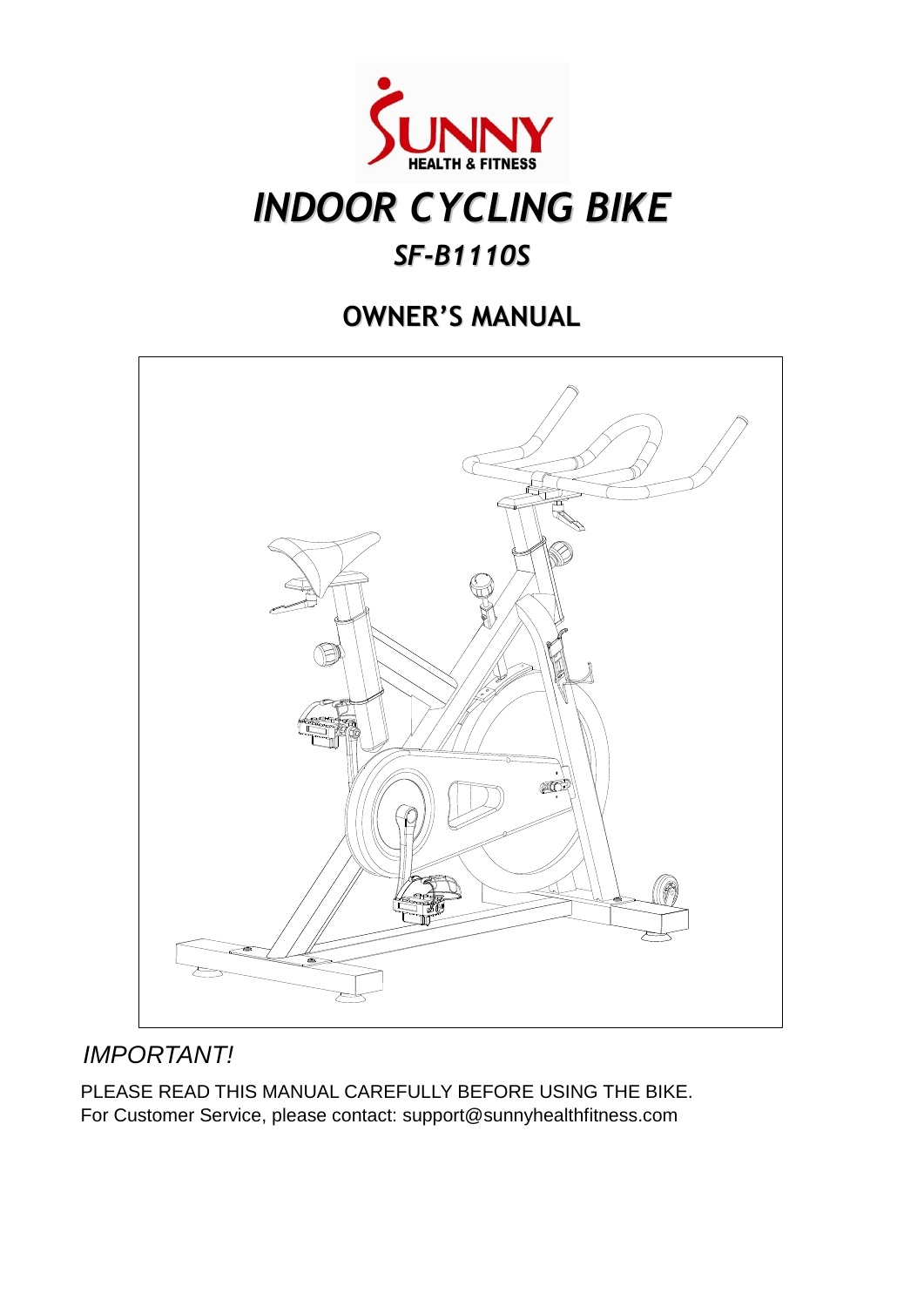

# *INDOOR CYCLING BIKE*

### *SF-B1110S*

### **OWNER'S MANUAL**



### *IMPORTANT!*

PLEASE READ THIS MANUAL CAREFULLY BEFORE USING THE BIKE. For Customer Service, please contact: support@sunnyhealthfitness.com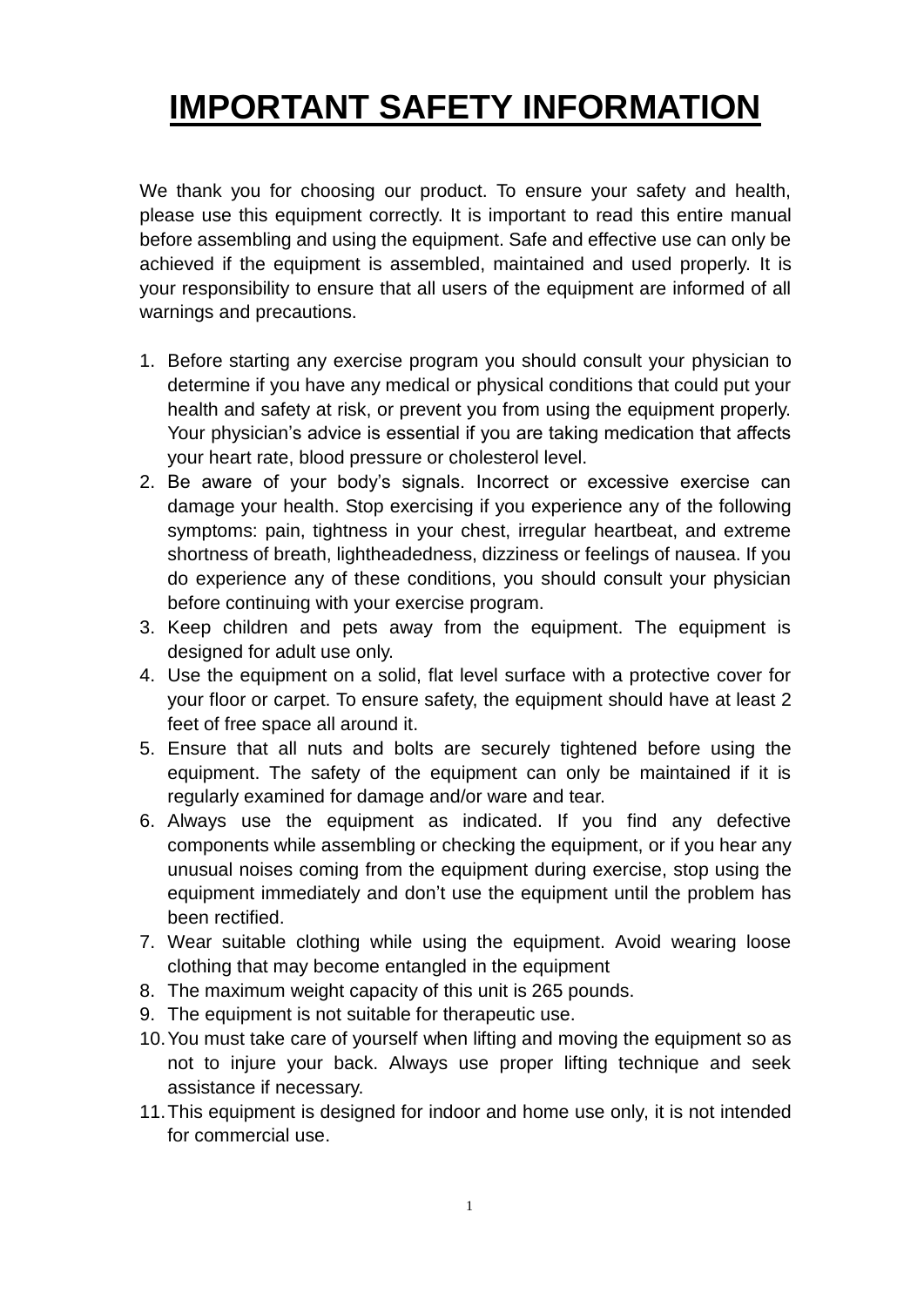# **IMPORTANT SAFETY INFORMATION**

We thank you for choosing our product. To ensure your safety and health, please use this equipment correctly. It is important to read this entire manual before assembling and using the equipment. Safe and effective use can only be achieved if the equipment is assembled, maintained and used properly. It is your responsibility to ensure that all users of the equipment are informed of all warnings and precautions.

- 1. Before starting any exercise program you should consult your physician to determine if you have any medical or physical conditions that could put your health and safety at risk, or prevent you from using the equipment properly. Your physician's advice is essential if you are taking medication that affects your heart rate, blood pressure or cholesterol level.
- 2. Be aware of your body's signals. Incorrect or excessive exercise can damage your health. Stop exercising if you experience any of the following symptoms: pain, tightness in your chest, irregular heartbeat, and extreme shortness of breath, lightheadedness, dizziness or feelings of nausea. If you do experience any of these conditions, you should consult your physician before continuing with your exercise program.
- 3. Keep children and pets away from the equipment. The equipment is designed for adult use only.
- 4. Use the equipment on a solid, flat level surface with a protective cover for your floor or carpet. To ensure safety, the equipment should have at least 2 feet of free space all around it.
- 5. Ensure that all nuts and bolts are securely tightened before using the equipment. The safety of the equipment can only be maintained if it is regularly examined for damage and/or ware and tear.
- 6. Always use the equipment as indicated. If you find any defective components while assembling or checking the equipment, or if you hear any unusual noises coming from the equipment during exercise, stop using the equipment immediately and don't use the equipment until the problem has been rectified.
- 7. Wear suitable clothing while using the equipment. Avoid wearing loose clothing that may become entangled in the equipment
- 8. The maximum weight capacity of this unit is 265 pounds.
- 9. The equipment is not suitable for therapeutic use.
- 10.You must take care of yourself when lifting and moving the equipment so as not to injure your back. Always use proper lifting technique and seek assistance if necessary.
- 11.This equipment is designed for indoor and home use only, it is not intended for commercial use.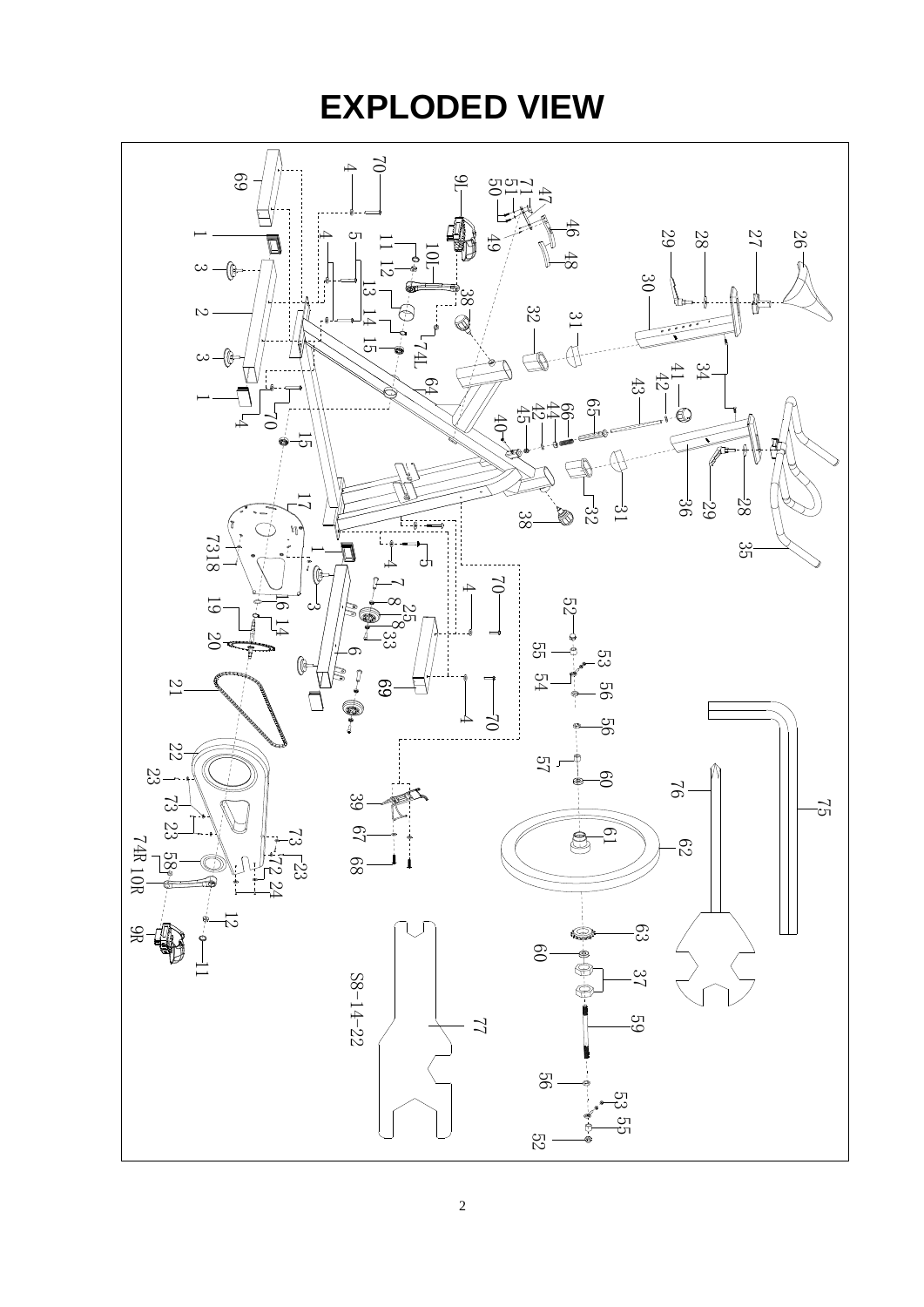# **EXPLODED VIEW**

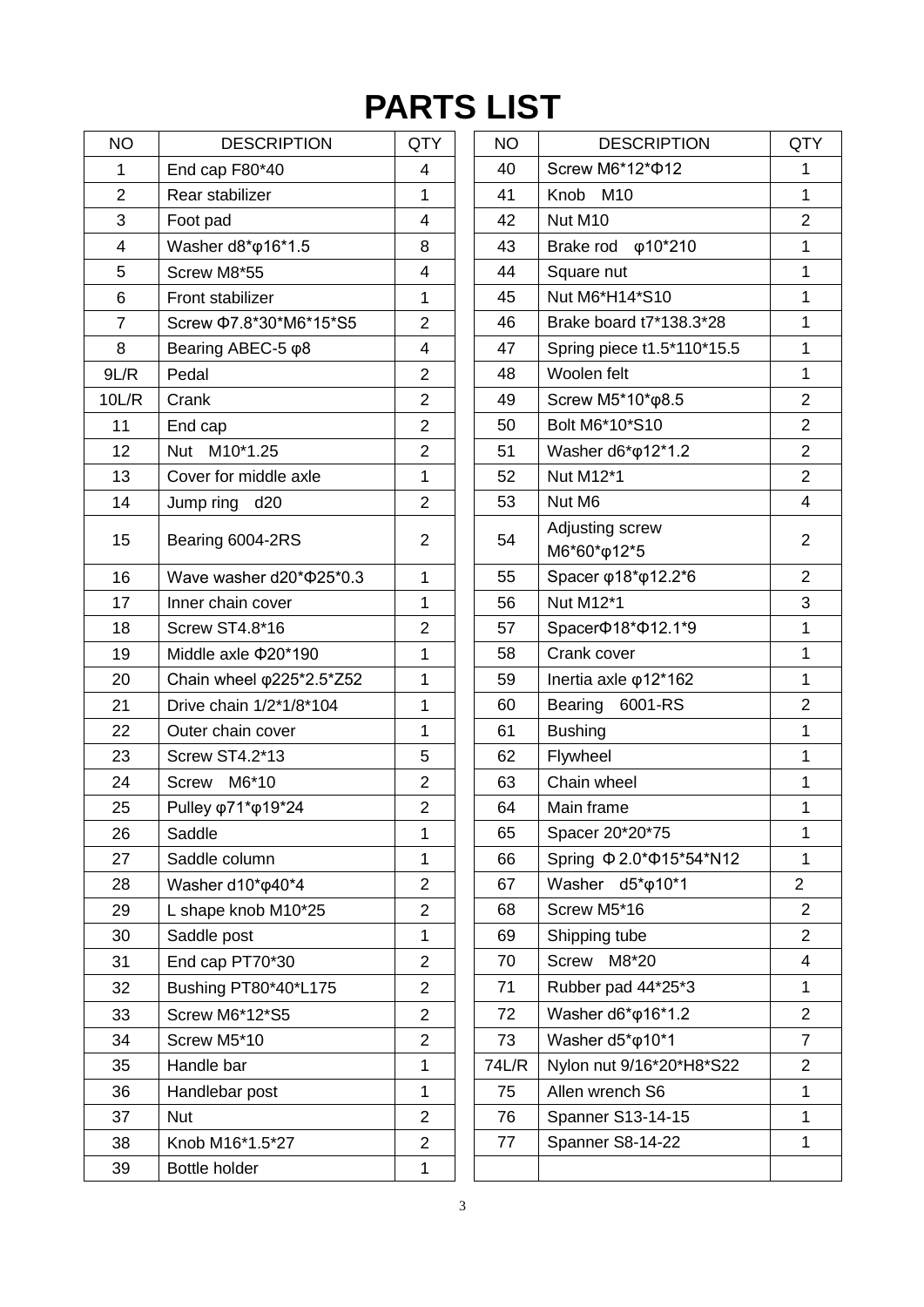# **PARTS LIST**

| <b>NO</b>      | <b>DESCRIPTION</b>                | <b>QTY</b>              | <b>NO</b> | <b>DESCRIPTION</b>                  | QT                      |
|----------------|-----------------------------------|-------------------------|-----------|-------------------------------------|-------------------------|
| $\mathbf{1}$   | End cap F80*40                    | 4                       | 40        | Screw M6*12* $\Phi$ 12              | 1                       |
| $\overline{2}$ | Rear stabilizer                   | 1                       | 41        | Knob M10                            | 1                       |
| 3              | Foot pad                          | $\overline{\mathbf{4}}$ | 42        | Nut M10                             | $\overline{\mathbf{c}}$ |
| 4              | Washer d8* $\varphi$ 16*1.5       | 8                       | 43        | Brake rod $\phi$ 10*210             | 1                       |
| 5              | Screw M8*55                       | 4                       | 44        | Square nut                          | 1                       |
| 6              | Front stabilizer                  | $\mathbf{1}$            | 45        | Nut M6*H14*S10                      | 1                       |
| $\overline{7}$ | Screw Ф7.8*30*M6*15*S5            | $\overline{2}$          | 46        | Brake board t7*138.3*28             | 1                       |
| 8              | Bearing ABEC-5 φ8                 | 4                       | 47        | Spring piece t1.5*110*15.5          | 1                       |
| 9L/R           | Pedal                             | $\overline{2}$          | 48        | Woolen felt                         | 1                       |
| 10L/R          | Crank                             | $\overline{2}$          | 49        | Screw M5*10*φ8.5                    | $\overline{a}$          |
| 11             | End cap                           | $\overline{2}$          | 50        | Bolt M6*10*S10                      | $\overline{a}$          |
| 12             | Nut M10*1.25                      | $\overline{2}$          | 51        | Washer d6* $\phi$ 12*1.2            | $\overline{2}$          |
| 13             | Cover for middle axle             | 1                       | 52        | Nut M12*1                           | $\overline{c}$          |
| 14             | Jump ring<br>d20                  | $\overline{2}$          | 53        | Nut M6                              | 4                       |
| 15             | Bearing 6004-2RS                  | $\overline{2}$          | 54        | Adjusting screw<br>M6*60*φ12*5      | $\overline{2}$          |
| 16             | Wave washer d20* \$25*0.3         | 1                       | 55        | Spacer φ18*φ12.2*6                  | $\overline{c}$          |
| 17             | Inner chain cover                 | 1                       | 56        | Nut M12*1                           | 3                       |
| 18             | <b>Screw ST4.8*16</b>             | $\overline{2}$          | 57        | Spacer $\Phi$ 18* $\Phi$ 12.1*9     | 1                       |
| 19             | Middle axle $\Phi$ 20*190         | 1                       | 58        | Crank cover                         | $\overline{\mathbf{1}}$ |
| 20             | Chain wheel $\varphi$ 225*2.5*Z52 | 1                       | 59        | Inertia axle $\varphi$ 12*162       | 1                       |
| 21             | Drive chain 1/2*1/8*104           | 1                       | 60        | Bearing 6001-RS                     | $\overline{c}$          |
| 22             | Outer chain cover                 | 1                       | 61        | <b>Bushing</b>                      | 1                       |
| 23             | <b>Screw ST4.2*13</b>             | 5                       | 62        | Flywheel                            | $\mathbf 1$             |
| 24             | Screw M6*10                       | $\overline{2}$          | 63        | Chain wheel                         | 1                       |
| 25             | Pulley φ71*φ19*24                 | $\overline{2}$          | 64        | Main frame                          | 1                       |
| 26             | Saddle                            | 1                       | 65        | Spacer 20*20*75                     | 1                       |
| 27             | Saddle column                     | 1                       | 66        | Spring $\Phi$ 2.0* $\Phi$ 15*54*N12 | 1                       |
| 28             | Washer d10* <sub>040</sub> *4     | $\overline{2}$          | 67        | Washer<br>$d5^* \phi 10^*1$         | $\overline{2}$          |
| 29             | L shape knob M10*25               | $\overline{2}$          | 68        | Screw M5*16                         | $\overline{c}$          |
| 30             | Saddle post                       | 1                       | 69        | Shipping tube                       | $\overline{c}$          |
| 31             | End cap PT70*30                   | $\overline{2}$          | 70        | M8*20<br>Screw                      | 4                       |
| 32             | Bushing PT80*40*L175              | $\overline{2}$          | 71        | Rubber pad 44*25*3                  | 1                       |
| 33             | Screw M6*12*S5                    | $\overline{2}$          | 72        | Washer d6* $\phi$ 16*1.2            | $\overline{c}$          |
| 34             | Screw M5*10                       | $\overline{2}$          | 73        | Washer d5* $\phi$ 10*1              | 7                       |
| 35             | Handle bar                        | 1                       | 74L/R     | Nylon nut 9/16*20*H8*S22            | $\overline{c}$          |
| 36             | Handlebar post                    | 1                       | 75        | Allen wrench S6                     | 1                       |
| 37             | <b>Nut</b>                        | $\overline{2}$          | 76        | Spanner S13-14-15                   | 1                       |
| 38             | Knob M16*1.5*27                   | $\overline{2}$          | 77        | Spanner S8-14-22                    | 1                       |
| 39             | Bottle holder                     | 1                       |           |                                     |                         |
|                |                                   |                         |           |                                     |                         |

| <b>NO</b>                | <b>DESCRIPTION</b>            | QTY            | <b>NO</b> | <b>DESCRIPTION</b>              | QTY            |
|--------------------------|-------------------------------|----------------|-----------|---------------------------------|----------------|
| $\mathbf 1$              | End cap F80*40                | 4              | 40        | Screw M6*12* $\Phi$ 12          | 1              |
| $\overline{2}$           | Rear stabilizer               | 1              | 41        | Knob M10                        | 1              |
| $\mathbf{3}$             | Foot pad                      | 4              | 42        | Nut M10                         | $\overline{2}$ |
| $\overline{\mathcal{A}}$ | Washer d8* $\varphi$ 16*1.5   | 8              | 43        | Brake rod $\varphi$ 10*210      | 1              |
| 5                        | Screw M8*55                   | 4              | 44        | Square nut                      | 1              |
| 6                        | Front stabilizer              | 1              | 45        | Nut M6*H14*S10                  | $\mathbf{1}$   |
| $\overline{7}$           | Screw Ф7.8*30*M6*15*S5        | $\overline{2}$ | 46        | Brake board t7*138.3*28         | 1              |
| 8                        | Bearing ABEC-5 φ8             | 4              | 47        | Spring piece t1.5*110*15.5      | 1              |
| JL/R                     | Pedal                         | $\overline{2}$ | 48        | Woolen felt                     | 1              |
| 0L/R                     | Crank                         | $\overline{2}$ | 49        | Screw M5*10*φ8.5                | $\overline{2}$ |
| 11                       | End cap                       | $\overline{2}$ | 50        | Bolt M6*10*S10                  | $\overline{2}$ |
| 12                       | Nut M10*1.25                  | $\overline{2}$ | 51        | Washer d6*q12*1.2               | $\overline{2}$ |
| 13                       | Cover for middle axle         | 1              | 52        | Nut M12*1                       | $\overline{2}$ |
| 14                       | Jump ring<br>d20              | $\overline{2}$ | 53        | Nut M6                          | 4              |
| 15                       | Bearing 6004-2RS              | $\overline{2}$ | 54        | Adjusting screw<br>M6*60*φ12*5  | $\overline{2}$ |
| 16                       | Wave washer d20* \$25*0.3     | 1              | 55        | Spacer φ18*φ12.2*6              | $\overline{2}$ |
| 17                       | Inner chain cover             | 1              | 56        | Nut M12*1                       | 3              |
| 18                       | Screw ST4.8*16                | $\overline{2}$ | 57        | Spacer $\Phi$ 18* $\Phi$ 12.1*9 | $\mathbf{1}$   |
| 19                       | Middle axle $\Phi$ 20*190     | 1              | 58        | Crank cover                     | $\mathbf{1}$   |
| 20                       | Chain wheel φ225*2.5*Z52      | 1              | 59        | Inertia axle $\varphi$ 12*162   | $\mathbf{1}$   |
| 21                       | Drive chain 1/2*1/8*104       | 1              | 60        | 6001-RS<br><b>Bearing</b>       | $\overline{2}$ |
| 22                       | Outer chain cover             | 1              | 61        | <b>Bushing</b>                  | 1              |
| 23                       | <b>Screw ST4.2*13</b>         | 5              | 62        | Flywheel                        | $\mathbf{1}$   |
| 24                       | M6*10<br><b>Screw</b>         | $\overline{2}$ | 63        | Chain wheel                     | $\mathbf{1}$   |
| 25                       | Pulley φ71*φ19*24             | $\overline{2}$ | 64        | Main frame                      | $\mathbf 1$    |
| 26                       | Saddle                        | 1              | 65        | Spacer 20*20*75                 | 1              |
| 27                       | Saddle column                 | 1              | 66        | Spring Φ2.0*Φ15*54*N12          | 1              |
| 28                       | Washer d10* <sub>040</sub> *4 | $\overline{2}$ | 67        | Washer d5* $\phi$ 10*1          | $\overline{2}$ |
| 29                       | L shape knob M10*25           | $\overline{2}$ | 68        | Screw M5*16                     | $\overline{2}$ |
| 30                       | Saddle post                   | 1              | 69        | Shipping tube                   | $\overline{2}$ |
| 31                       | End cap PT70*30               | $\overline{2}$ | 70        | Screw<br>M8*20                  | 4              |
| 32                       | Bushing PT80*40*L175          | $\overline{2}$ | 71        | Rubber pad 44*25*3              | $\mathbf{1}$   |
| 33                       | Screw M6*12*S5                | $\overline{2}$ | 72        | Washer d6* $\phi$ 16*1.2        | $\overline{2}$ |
| 34                       | Screw M5*10                   | $\overline{2}$ | 73        | Washer d5*o10*1                 | $\overline{7}$ |
| 35                       | Handle bar                    | 1              | 74L/R     | Nylon nut 9/16*20*H8*S22        | $\overline{2}$ |
| 36                       | Handlebar post                | 1              | 75        | Allen wrench S6                 | $\mathbf{1}$   |
| 37                       | <b>Nut</b>                    | $\overline{2}$ | 76        | Spanner S13-14-15               | $\mathbf{1}$   |
| 38                       | Knob M16*1.5*27               | $\overline{2}$ | 77        | Spanner S8-14-22                | $\mathbf{1}$   |
| 39                       | Bottle holder                 | 1              |           |                                 |                |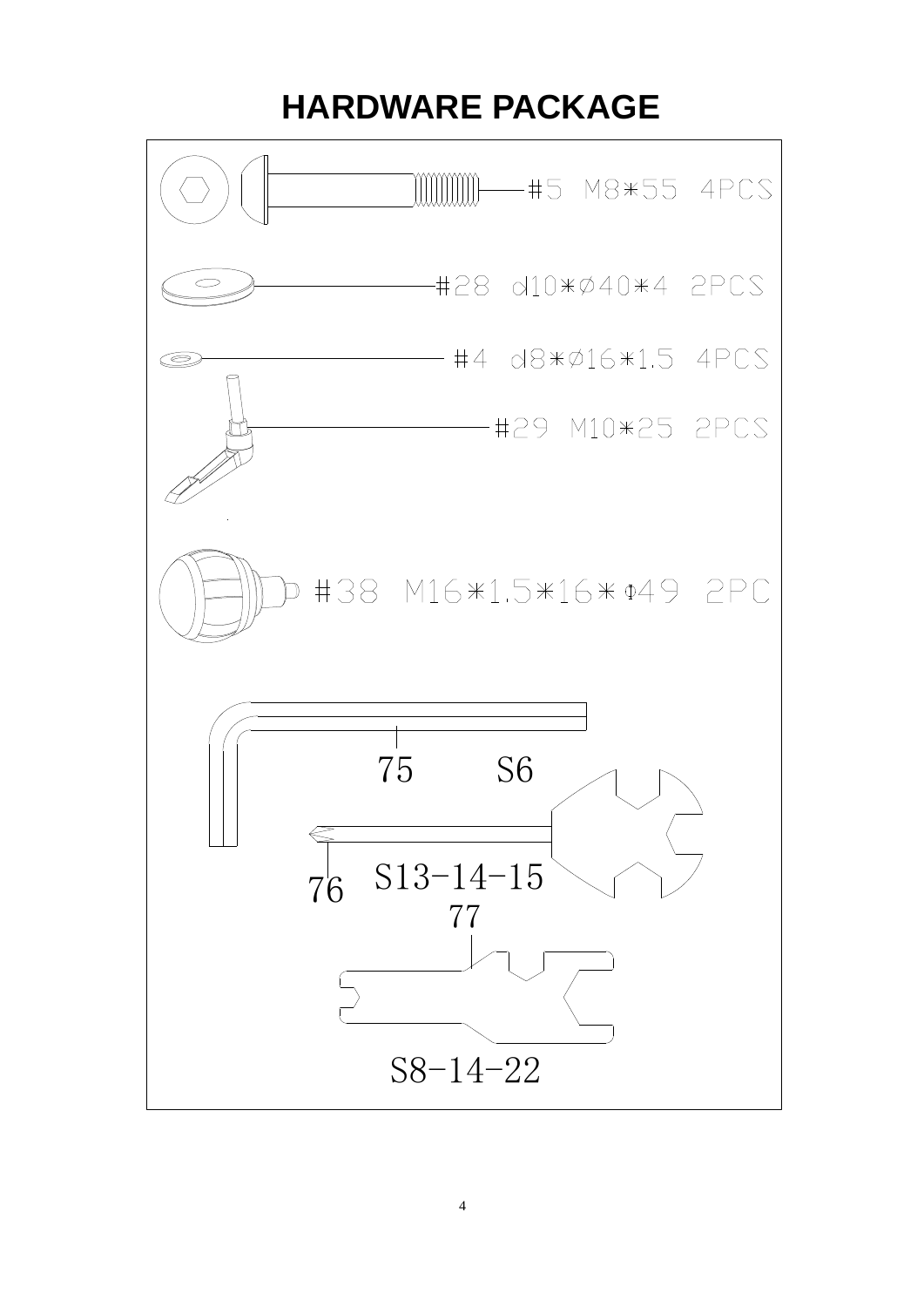## **HARDWARE PACKAGE**

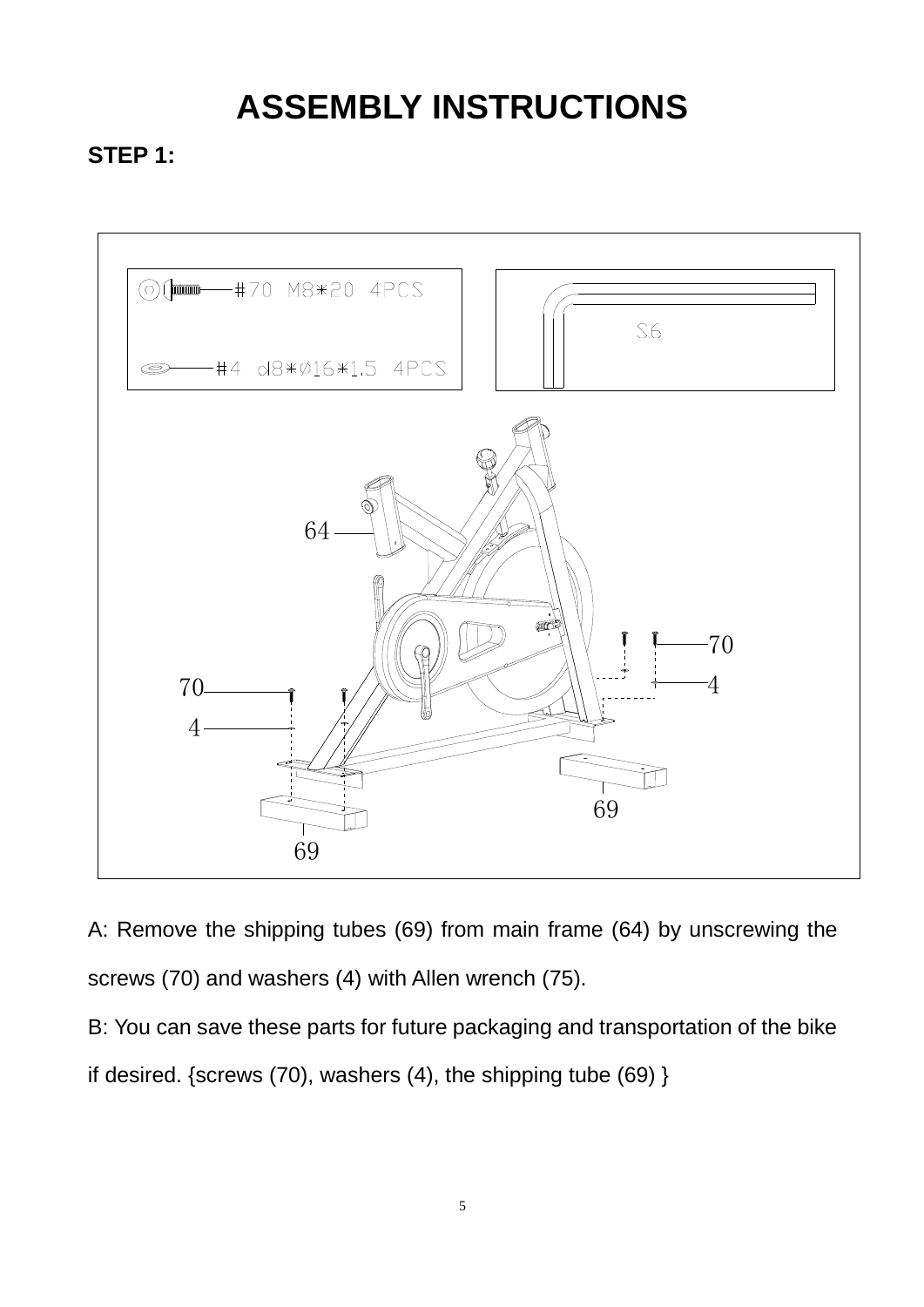# **ASSEMBLY INSTRUCTIONS**

### **STEP 1:**



A: Remove the shipping tubes (69) from main frame (64) by unscrewing the screws (70) and washers (4) with Allen wrench (75).

B: You can save these parts for future packaging and transportation of the bike if desired. {screws (70), washers (4), the shipping tube (69) }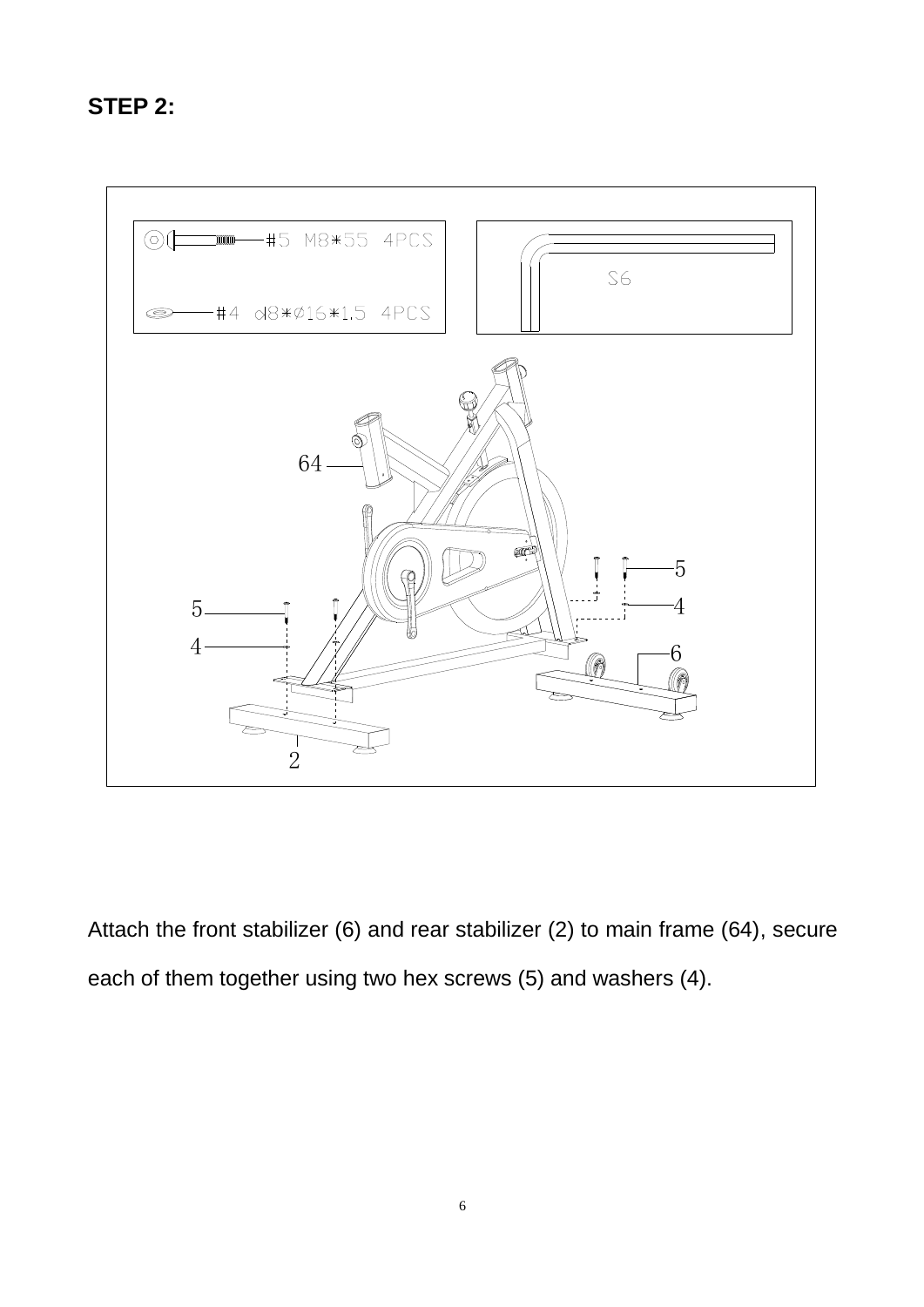### **STEP 2:**



Attach the front stabilizer (6) and rear stabilizer (2) to main frame (64), secure each of them together using two hex screws (5) and washers (4).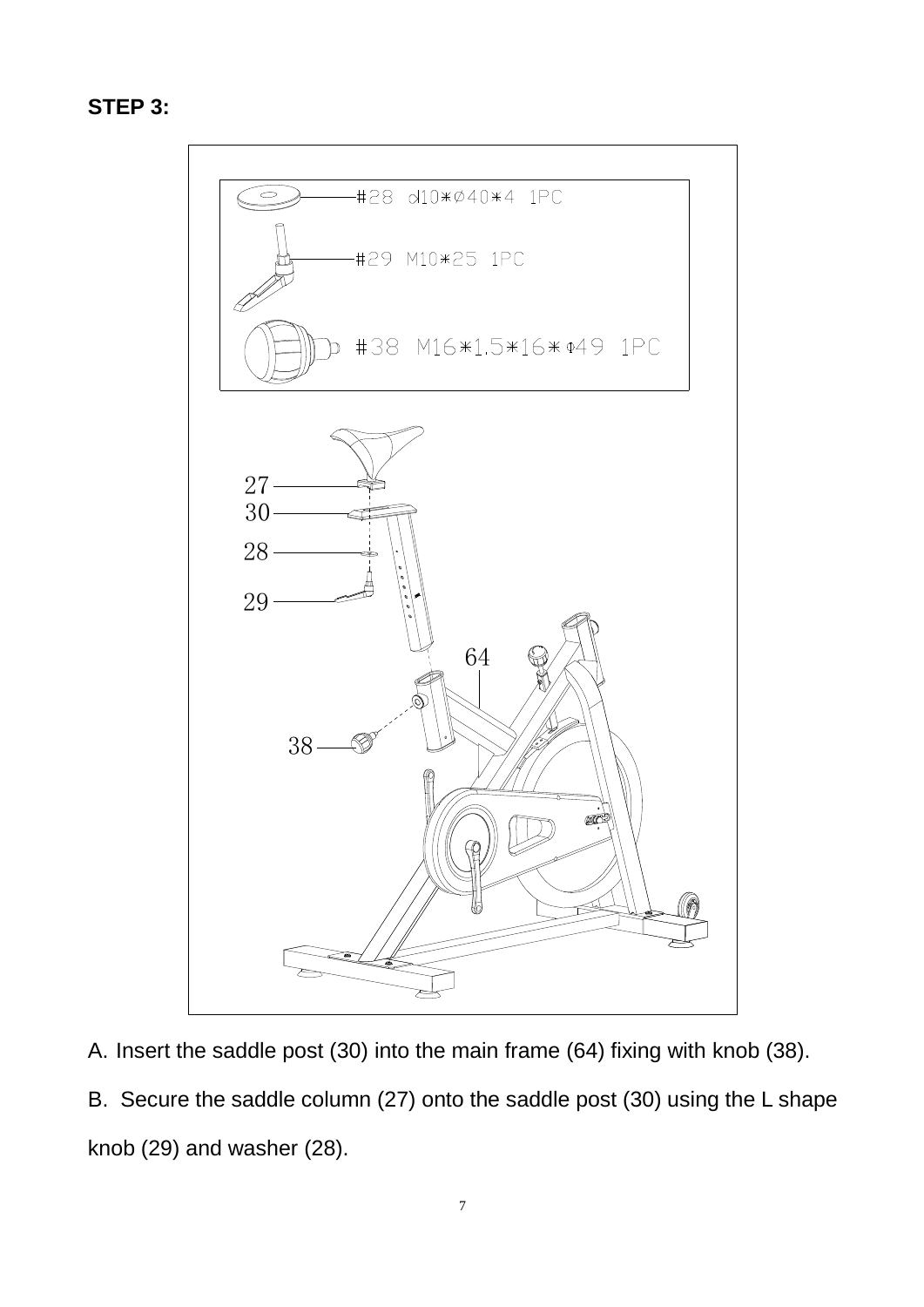### **STEP 3:**



A. Insert the saddle post (30) into the main frame (64) fixing with knob (38).

B. Secure the saddle column (27) onto the saddle post (30) using the L shape knob (29) and washer (28).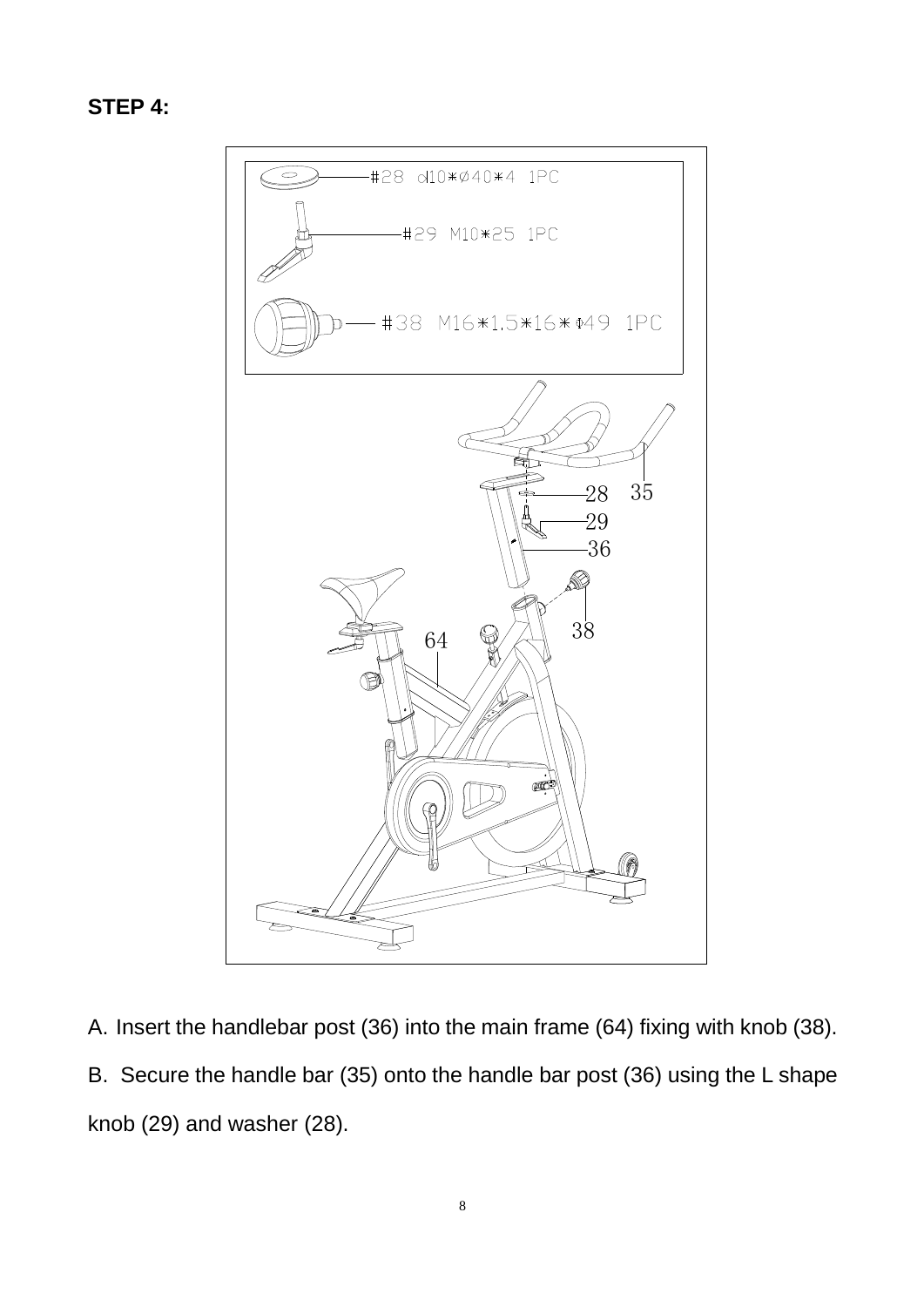```
STEP 4:
```


A. Insert the handlebar post (36) into the main frame (64) fixing with knob (38). B. Secure the handle bar (35) onto the handle bar post (36) using the L shape knob (29) and washer (28).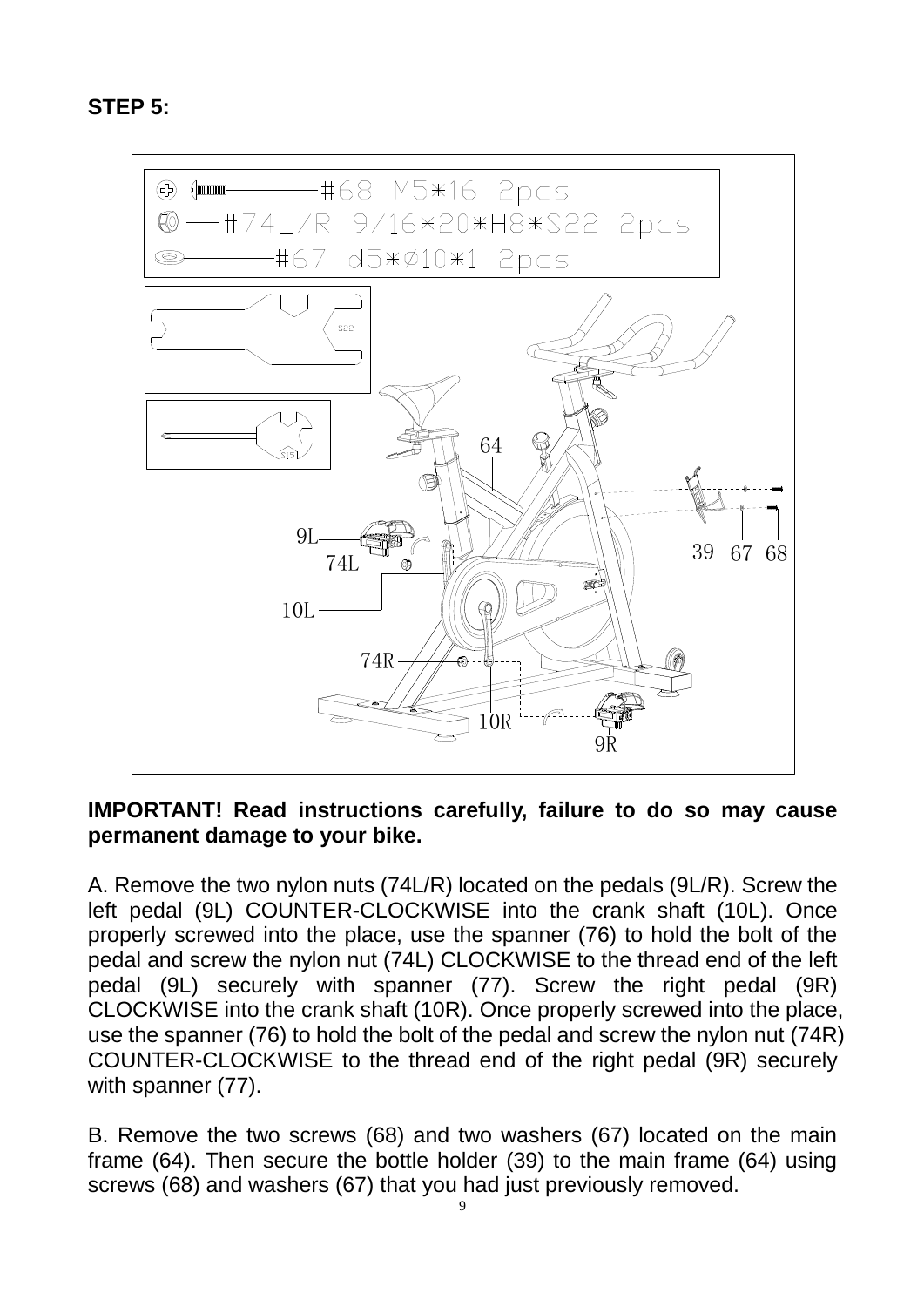**STEP 5:**



#### **IMPORTANT! Read instructions carefully, failure to do so may cause permanent damage to your bike.**

A. Remove the two nylon nuts (74L/R) located on the pedals (9L/R). Screw the left pedal (9L) COUNTER-CLOCKWISE into the crank shaft (10L). Once properly screwed into the place, use the spanner (76) to hold the bolt of the pedal and screw the nylon nut (74L) CLOCKWISE to the thread end of the left pedal (9L) securely with spanner (77). Screw the right pedal (9R) CLOCKWISE into the crank shaft (10R). Once properly screwed into the place, use the spanner (76) to hold the bolt of the pedal and screw the nylon nut (74R) COUNTER-CLOCKWISE to the thread end of the right pedal (9R) securely with spanner (77).

B. Remove the two screws (68) and two washers (67) located on the main frame (64). Then secure the bottle holder (39) to the main frame (64) using screws (68) and washers (67) that you had just previously removed.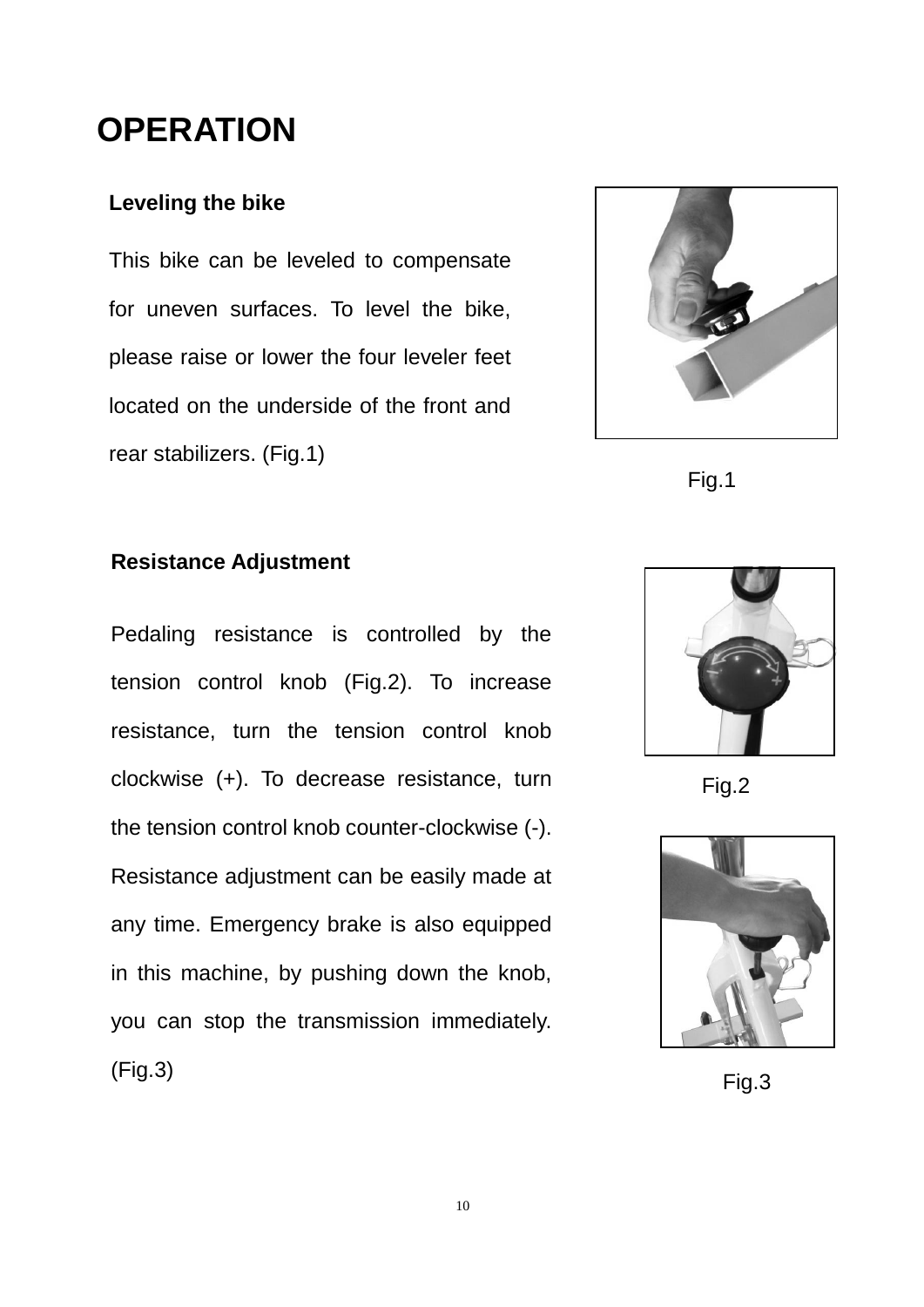### **OPERATION**

### **Leveling the bike**

This bike can be leveled to compensate for uneven surfaces. To level the bike, please raise or lower the four leveler feet located on the underside of the front and rear stabilizers. (Fig.1)



Fig.1

### **Resistance Adjustment**

Pedaling resistance is controlled by the tension control knob (Fig.2). To increase resistance, turn the tension control knob clockwise (+). To decrease resistance, turn the tension control knob counter-clockwise (-). Resistance adjustment can be easily made at any time. Emergency brake is also equipped in this machine, by pushing down the knob, you can stop the transmission immediately. (Fig.3)



Fig.2



Fig.3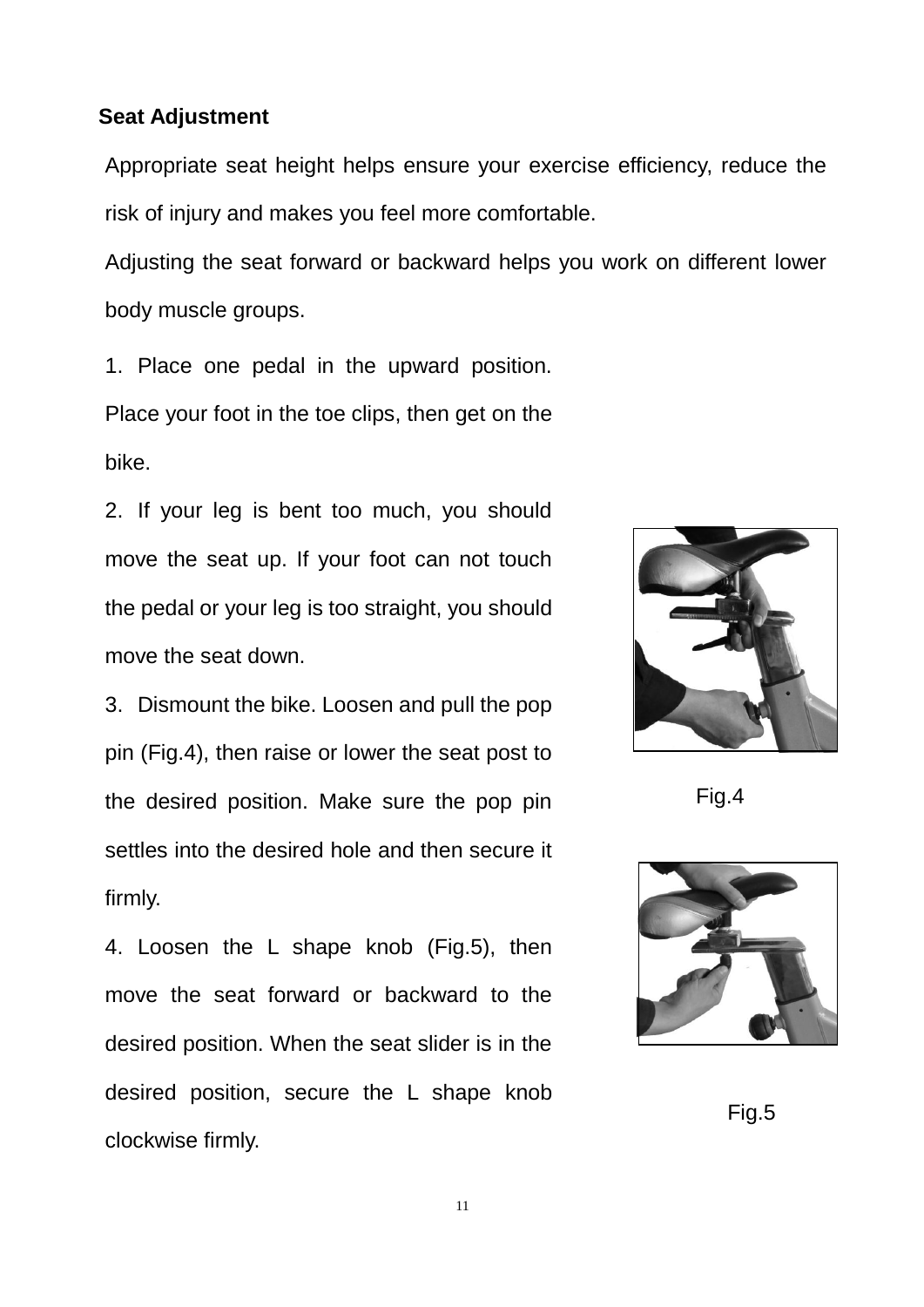#### **Seat Adjustment**

Appropriate seat height helps ensure your exercise efficiency, reduce the risk of injury and makes you feel more comfortable.

 $\frac{1}{2}$  $\mathcal{L}$  is  $\mathcal{L}$  position. Place  $\mathcal{L}$ Adjusting the seat forward or backward helps you work on different lower body muscle groups.

1. Place one pedal in the upward position. Place your foot in the toe clips, then get on the  $2.$  If  $\sigma$ . bike.

2. If your leg is bent too much, you should move the seat up. If your foot can not touch the pedal or your leg is too straight, you should move the seat down.

3. Dismount the bike. Loosen and pull the pop pin (Fig.4), then raise or lower the seat post to the desired position. Make sure the pop pin settles into the desired hole and then secure it post to the desired position. firmly.

4. Loosen the L shape knob (Fig.5), then move the seat forward or backward to the desired position. When the seat slider is in the desired position, secure the L shape knob clockwise firmly.



Fig.4



Fig.5

11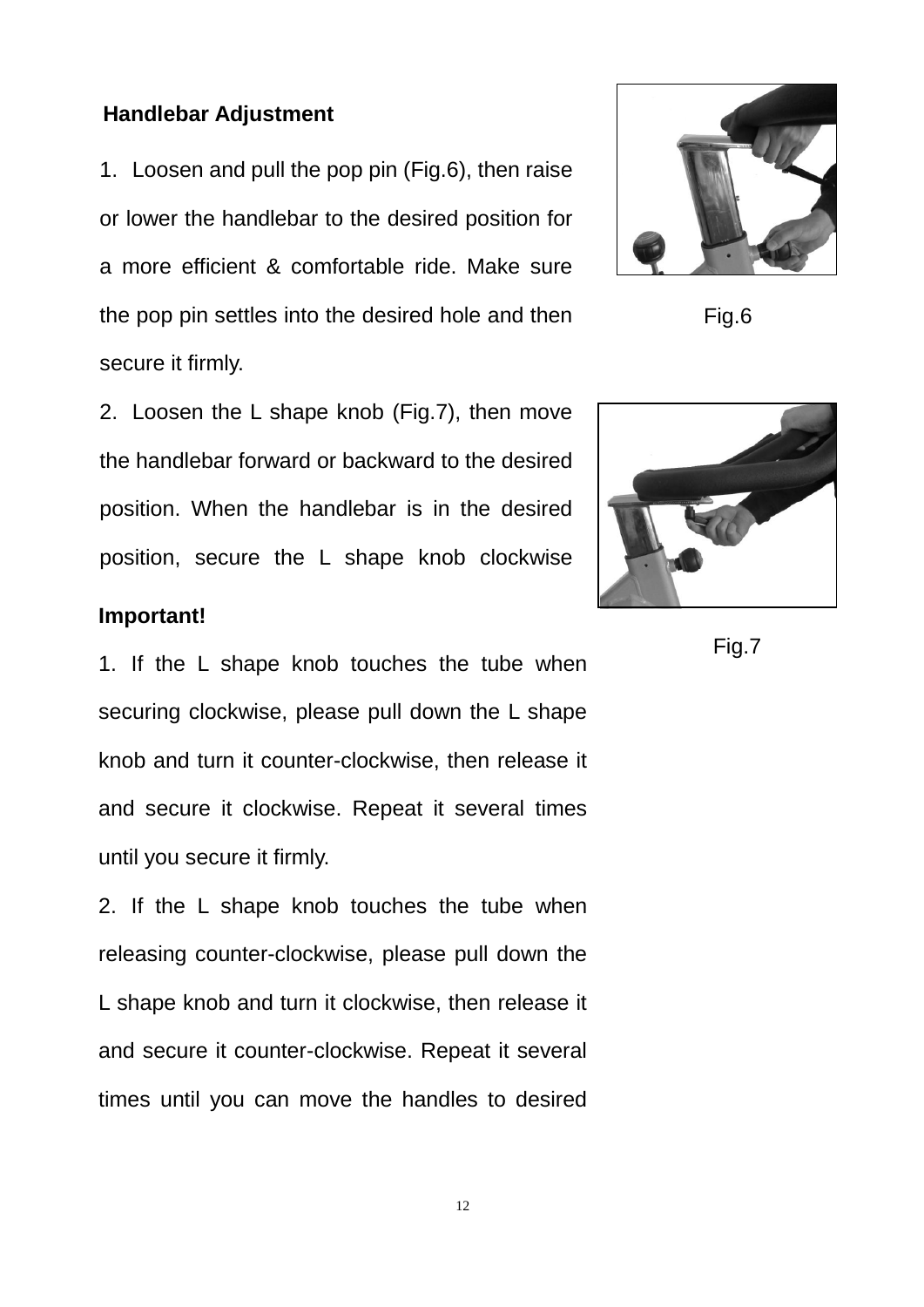#### **Handlebar Adjustment**

1. Loosen and pull the pop pin (Fig.6), then raise or lower the handlebar to the desired position for a more efficient & comfortable ride. Make sure the pop pin settles into the desired hole and then secure it firmly.

2. Loosen the L shape knob (Fig.7), then move the handlebar forward or backward to the desired position. When the handlebar is in the desired position, secure the L shape knob clockwise

#### **Important!**

1. If the L shape knob touches the tube when securing clockwise, please pull down the L shape knob and turn it counter-clockwise, then release it and secure it clockwise. Repeat it several times until you secure it firmly.

2. If the L shape knob touches the tube when releasing counter-clockwise, please pull down the L shape knob and turn it clockwise, then release it and secure it counter-clockwise. Repeat it several times until you can move the handles to desired



Fig.6



Fig.7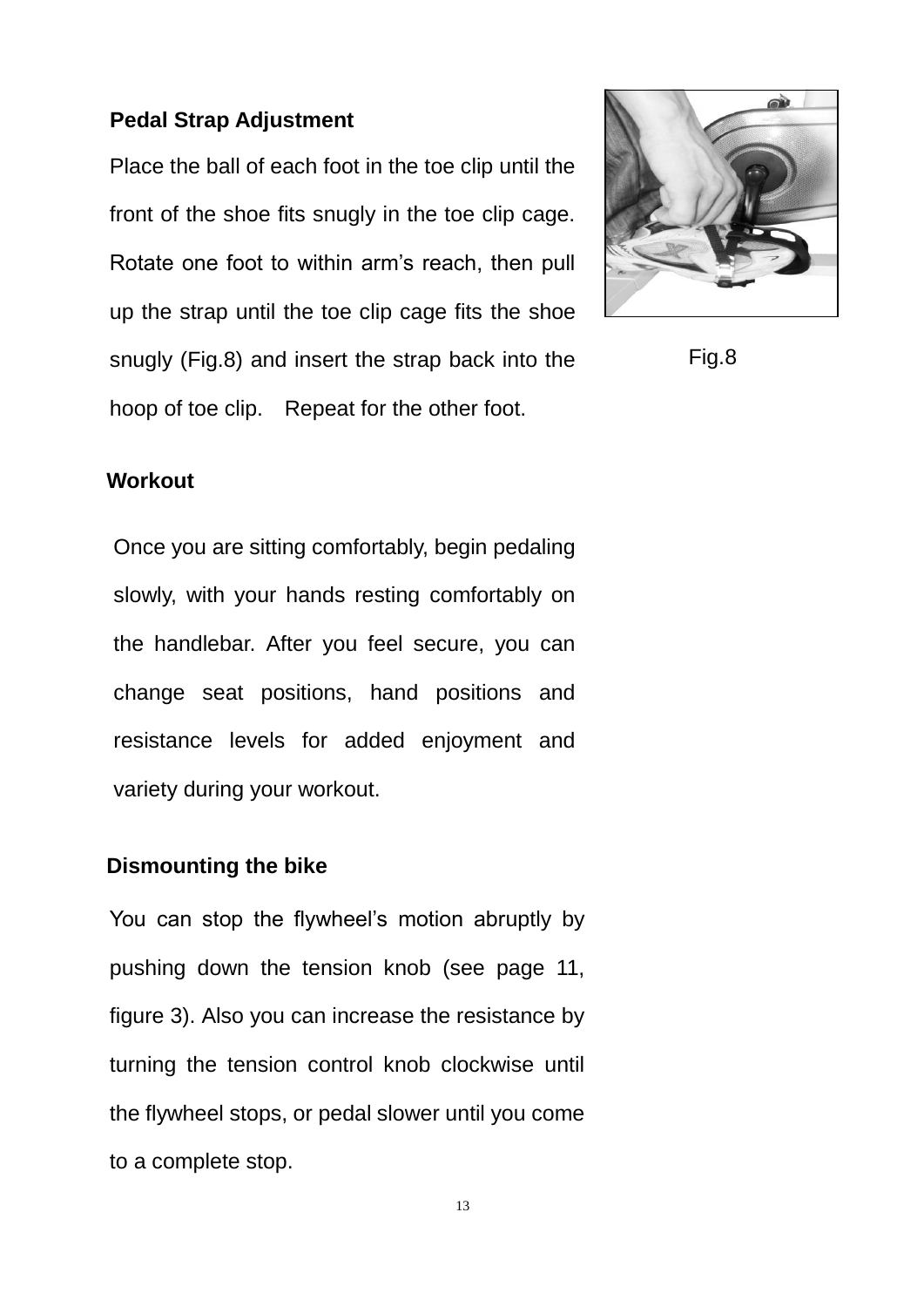#### **Pedal Strap Adjustment**

Place the ball of each foot in the toe clip until the front of the shoe fits snugly in the toe clip cage. Rotate one foot to within arm's reach, then pull up the strap until the toe clip cage fits the shoe snugly (Fig.8) and insert the strap back into the hoop of toe clip. Repeat for the other foot.



Fig.8

#### **Workout**

Once you are sitting comfortably, begin pedaling slowly, with your hands resting comfortably on the handlebar. After you feel secure, you can change seat positions, hand positions and resistance levels for added enjoyment and variety during your workout.

#### **Dismounting the bike**

You can stop the flywheel's motion abruptly by pushing down the tension knob (see page 11, figure 3). Also you can increase the resistance by turning the tension control knob clockwise until the flywheel stops, or pedal slower until you come to a complete stop.